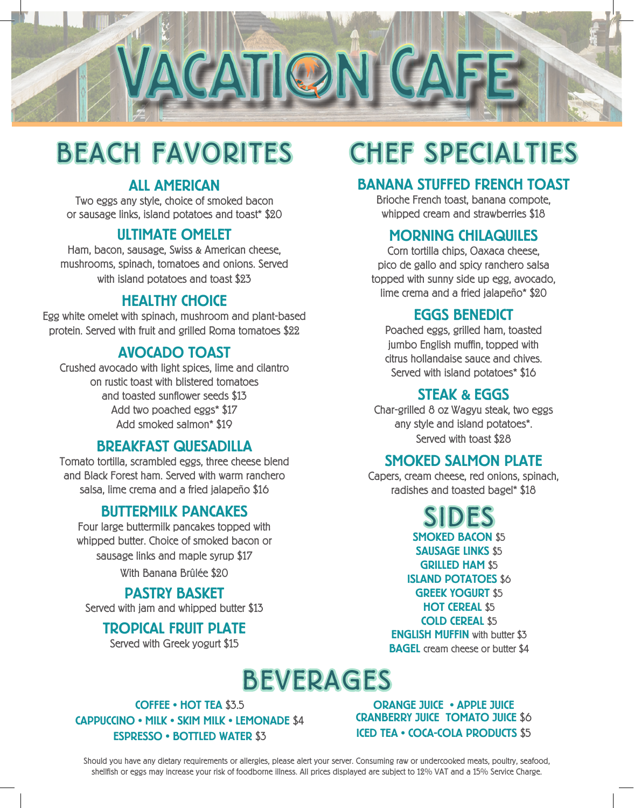

## BEACH FAVORITES CHEF SPECIALTIES

### ALL AMERICAN

Two eggs any style, choice of smoked bacon or sausage links, island potatoes and toast\* \$20

#### ULTIMATE OMELET

Ham, bacon, sausage, Swiss & American cheese, mushrooms, spinach, tomatoes and onions. Served with island potatoes and toast \$23

#### HEALTHY CHOICE

Egg white omelet with spinach, mushroom and plant-based protein. Served with fruit and grilled Roma tomatoes \$22

#### AVOCADO TOAST

Crushed avocado with light spices, lime and cilantro on rustic toast with blistered tomatoes and toasted sunflower seeds \$13 Add two poached eggs\* \$17 Add smoked salmon\* \$19

#### BREAKFAST QUESADILLA

Tomato tortilla, scrambled eggs, three cheese blend and Black Forest ham. Served with warm ranchero salsa, lime crema and a fried jalapeño \$16

#### BUTTERMILK PANCAKES

Four large buttermilk pancakes topped with whipped butter. Choice of smoked bacon or sausage links and maple syrup \$17 With Banana Brûlée \$20

#### PASTRY BASKET

Served with jam and whipped butter \$13

#### TROPICAL FRUIT PLATE

Served with Greek yogurt \$15

#### BANANA STUFFED FRENCH TOAST

Brioche French toast, banana compote, whipped cream and strawberries \$18

#### MORNING CHILAQUILES

Corn tortilla chips, Oaxaca cheese, pico de gallo and spicy ranchero salsa topped with sunny side up egg, avocado, lime crema and a fried jalapeño\* \$20

#### EGGS BENEDICT

Poached eggs, grilled ham, toasted jumbo English muffin, topped with citrus hollandaise sauce and chives. Served with island potatoes\* \$16

#### STEAK & EGGS

Char-grilled 8 oz Wagyu steak, two eggs any style and island potatoes\*. Served with toast \$28

#### SMOKED SALMON PLATE

Capers, cream cheese, red onions, spinach, radishes and toasted bagel\* \$18

SIDES

SMOKED BACON \$5 SAUSAGE LINKS \$5 GRILLED HAM \$5 ISLAND POTATOES \$6 GREEK YOGURT \$5 HOT CEREAL \$5 COLD CEREAL \$5 ENGLISH MUFFIN with butter \$3 **BAGEL** cream cheese or butter \$4

### BEVERAGES

COFFEE • HOT TEA \$3.5 CAPPUCCINO • MILK • SKIM MILK • LEMONADE \$4 ESPRESSO • BOTTLED WATER \$3

ORANGE JUICE • APPLE JUICE CRANBERRY JUICE TOMATO JUICE \$6 ICED TEA • COCA-COLA PRODUCTS \$5

Should you have any dietary requirements or allergies, please alert your server. Consuming raw or undercooked meats, poultry, seafood, shellfish or eggs may increase your risk of foodborne illness. All prices displayed are subject to 12% VAT and a 15% Service Charge.